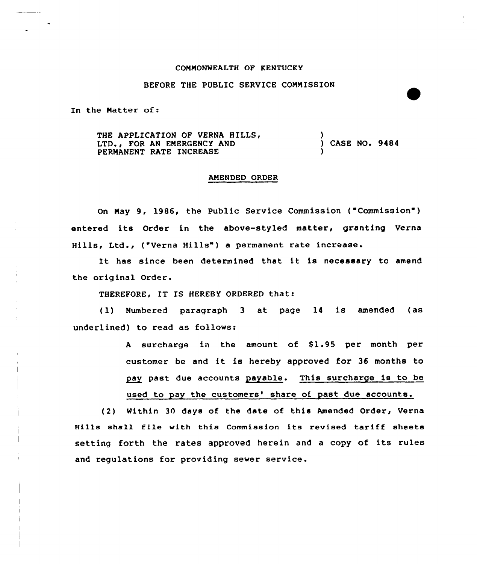## COMMONWEALTH OF KENTUCKY

## BEFORE THE PUBLIC SERVICE COMMISSION

In the Matter of:

THE APPLICATION OF VERNA HILLS, LTD., FOR AN EMERGENCY AND PERMANENT RATE INCREASE ) ) CASE NO. 9484 )

## AMENDED ORDER

On May 9, 1986, the Public Service Commission ("Commission") entered its Order in the above-styled matter, granting Verna Hills, Ltd., ("Verna Hills") a permanent rate increase

It has since been determined that it is necessary to amend the original Order.

THEREFORE, IT IS HEREBY ORDERED that:

(1) Numbered paragraph <sup>3</sup> at page 14 is amended (as underlined) to read as follows:

> A surcharge in the amount of \$1.95 per month per customer be and it is hereby approved for <sup>36</sup> months to pay past due accounts payable. This surcharge is to be used to pay the customers' share of past due accounts.

(2) Within 30 days of the date of this Amended Order, Verna Hills shall file with this Commission its revised tariff sheets setting forth the rates approved herein and <sup>a</sup> copy of its rules and regulations for providing sewer service.